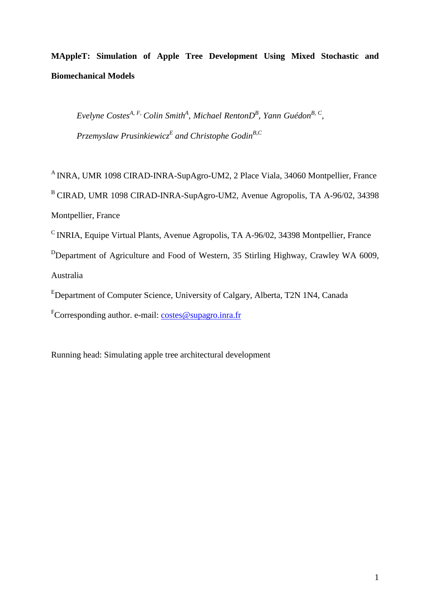**MAppleT: Simulation of Apple Tree Development Using Mixed Stochastic and Biomechanical Models** 

*Evelyne CostesA, F, Colin Smith<sup>A</sup> , Michael RentonD<sup>B</sup> , Yann GuédonB, C , Przemyslaw Prusinkiewicz<sup>E</sup> and Christophe GodinB,C*

<sup>A</sup> INRA, UMR 1098 CIRAD-INRA-SupAgro-UM2, 2 Place Viala, 34060 Montpellier, France <sup>B</sup>CIRAD, UMR 1098 CIRAD-INRA-SupAgro-UM2, Avenue Agropolis, TA A-96/02, 34398 Montpellier, France

 $\textdegree$  INRIA, Equipe Virtual Plants, Avenue Agropolis, TA A-96/02, 34398 Montpellier, France <sup>D</sup>Department of Agriculture and Food of Western, 35 Stirling Highway, Crawley WA 6009, Australia

<sup>E</sup>Department of Computer Science, University of Calgary, Alberta, T2N 1N4, Canada

 ${}^{\text{F}}$ Corresponding author. e-mail: costes@supagro.inra.fr

Running head: Simulating apple tree architectural development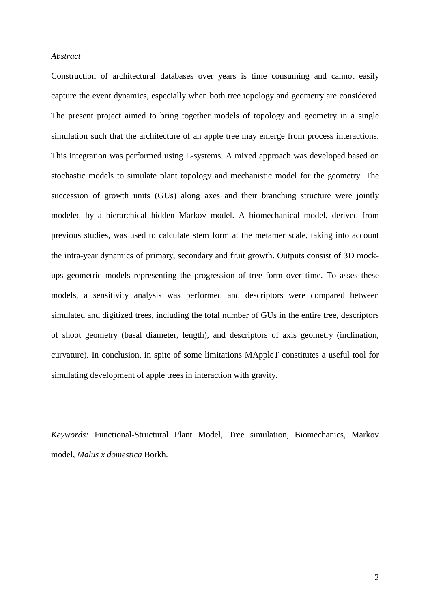#### *Abstract*

Construction of architectural databases over years is time consuming and cannot easily capture the event dynamics, especially when both tree topology and geometry are considered. The present project aimed to bring together models of topology and geometry in a single simulation such that the architecture of an apple tree may emerge from process interactions. This integration was performed using L-systems. A mixed approach was developed based on stochastic models to simulate plant topology and mechanistic model for the geometry. The succession of growth units (GUs) along axes and their branching structure were jointly modeled by a hierarchical hidden Markov model. A biomechanical model, derived from previous studies, was used to calculate stem form at the metamer scale, taking into account the intra-year dynamics of primary, secondary and fruit growth. Outputs consist of 3D mockups geometric models representing the progression of tree form over time. To asses these models, a sensitivity analysis was performed and descriptors were compared between simulated and digitized trees, including the total number of GUs in the entire tree, descriptors of shoot geometry (basal diameter, length), and descriptors of axis geometry (inclination, curvature). In conclusion, in spite of some limitations MAppleT constitutes a useful tool for simulating development of apple trees in interaction with gravity.

*Keywords:* Functional-Structural Plant Model, Tree simulation, Biomechanics, Markov model, *Malus x domestica* Borkh.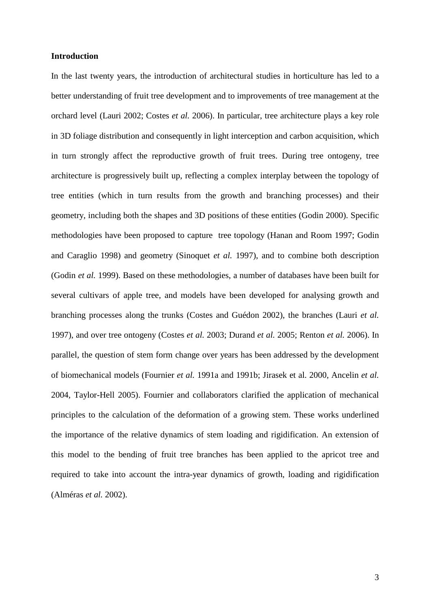# **Introduction**

In the last twenty years, the introduction of architectural studies in horticulture has led to a better understanding of fruit tree development and to improvements of tree management at the orchard level (Lauri 2002; Costes *et al.* 2006). In particular, tree architecture plays a key role in 3D foliage distribution and consequently in light interception and carbon acquisition, which in turn strongly affect the reproductive growth of fruit trees. During tree ontogeny, tree architecture is progressively built up, reflecting a complex interplay between the topology of tree entities (which in turn results from the growth and branching processes) and their geometry, including both the shapes and 3D positions of these entities (Godin 2000). Specific methodologies have been proposed to capture tree topology (Hanan and Room 1997; Godin and Caraglio 1998) and geometry (Sinoquet *et al.* 1997), and to combine both description (Godin *et al.* 1999). Based on these methodologies, a number of databases have been built for several cultivars of apple tree, and models have been developed for analysing growth and branching processes along the trunks (Costes and Guédon 2002), the branches (Lauri *et al.*  1997), and over tree ontogeny (Costes *et al.* 2003; Durand *et al.* 2005; Renton *et al.* 2006). In parallel, the question of stem form change over years has been addressed by the development of biomechanical models (Fournier *et al.* 1991a and 1991b; Jirasek et al. 2000, Ancelin *et al.*  2004, Taylor-Hell 2005). Fournier and collaborators clarified the application of mechanical principles to the calculation of the deformation of a growing stem. These works underlined the importance of the relative dynamics of stem loading and rigidification. An extension of this model to the bending of fruit tree branches has been applied to the apricot tree and required to take into account the intra-year dynamics of growth, loading and rigidification (Alméras *et al.* 2002).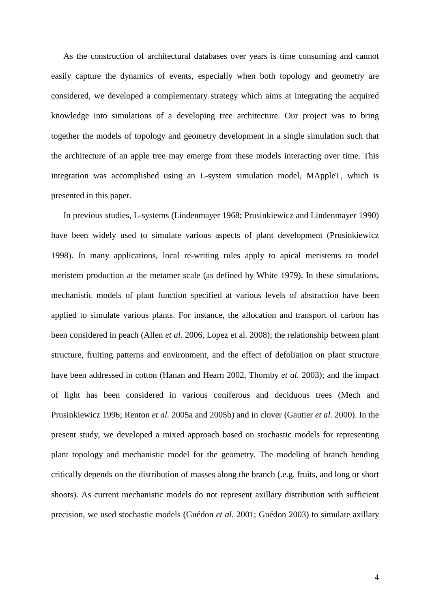As the construction of architectural databases over years is time consuming and cannot easily capture the dynamics of events, especially when both topology and geometry are considered, we developed a complementary strategy which aims at integrating the acquired knowledge into simulations of a developing tree architecture. Our project was to bring together the models of topology and geometry development in a single simulation such that the architecture of an apple tree may emerge from these models interacting over time. This integration was accomplished using an L-system simulation model, MAppleT, which is presented in this paper.

In previous studies, L-systems (Lindenmayer 1968; Prusinkiewicz and Lindenmayer 1990) have been widely used to simulate various aspects of plant development (Prusinkiewicz 1998). In many applications, local re-writing rules apply to apical meristems to model meristem production at the metamer scale (as defined by White 1979). In these simulations, mechanistic models of plant function specified at various levels of abstraction have been applied to simulate various plants. For instance, the allocation and transport of carbon has been considered in peach (Allen *et al.* 2006, Lopez et al. 2008); the relationship between plant structure, fruiting patterns and environment, and the effect of defoliation on plant structure have been addressed in cotton (Hanan and Hearn 2002, Thornby *et al.* 2003); and the impact of light has been considered in various coniferous and deciduous trees (Mech and Prusinkiewicz 1996; Renton *et al.* 2005a and 2005b) and in clover (Gautier *et al.* 2000). In the present study, we developed a mixed approach based on stochastic models for representing plant topology and mechanistic model for the geometry. The modeling of branch bending critically depends on the distribution of masses along the branch (.e.g. fruits, and long or short shoots). As current mechanistic models do not represent axillary distribution with sufficient precision, we used stochastic models (Guédon *et al.* 2001; Guédon 2003) to simulate axillary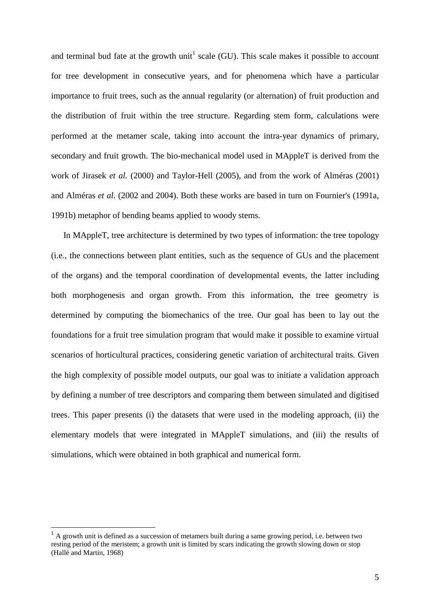and terminal bud fate at the growth unit<sup>1</sup> scale (GU). This scale makes it possible to account for tree development in consecutive years, and for phenomena which have a particular importance to fruit trees, such as the annual regularity (or alternation) of fruit production and the distribution of fruit within the tree structure. Regarding stem form, calculations were performed at the metamer scale, taking into account the intra-year dynamics of primary, secondary and fruit growth. The bio-mechanical model used in MAppleT is derived from the work of Jirasek *et al.* (2000) and Taylor-Hell (2005), and from the work of Alméras (2001) and Alméras *et al.* (2002 and 2004). Both these works are based in turn on Fournier's (1991a, 1991b) metaphor of bending beams applied to woody stems.

In MAppleT, tree architecture is determined by two types of information: the tree topology (i.e., the connections between plant entities, such as the sequence of GUs and the placement of the organs) and the temporal coordination of developmental events, the latter including both morphogenesis and organ growth. From this information, the tree geometry is determined by computing the biomechanics of the tree. Our goal has been to lay out the foundations for a fruit tree simulation program that would make it possible to examine virtual scenarios of horticultural practices, considering genetic variation of architectural traits. Given the high complexity of possible model outputs, our goal was to initiate a validation approach by defining a number of tree descriptors and comparing them between simulated and digitised trees. This paper presents (i) the datasets that were used in the modeling approach, (ii) the elementary models that were integrated in MAppleT simulations, and (iii) the results of simulations, which were obtained in both graphical and numerical form.

 $\overline{a}$ 

 $1$  A growth unit is defined as a succession of metamers built during a same growing period, i.e. between two resting period of the meristem; a growth unit is limited by scars indicating the growth slowing down or stop (Hallé and Martin, 1968)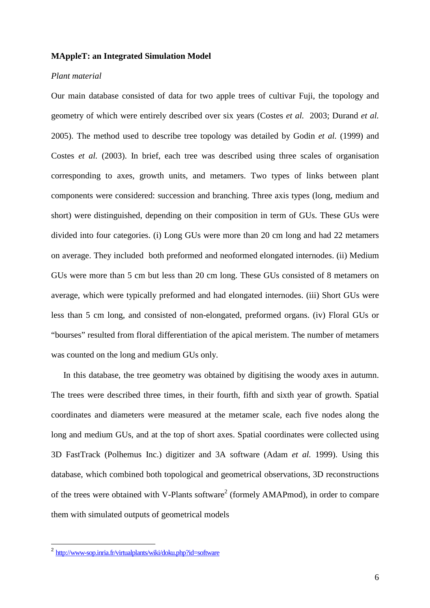### **MAppleT: an Integrated Simulation Model**

# *Plant material*

Our main database consisted of data for two apple trees of cultivar Fuji, the topology and geometry of which were entirely described over six years (Costes *et al.* 2003; Durand *et al.*  2005). The method used to describe tree topology was detailed by Godin *et al.* (1999) and Costes *et al.* (2003). In brief, each tree was described using three scales of organisation corresponding to axes, growth units, and metamers. Two types of links between plant components were considered: succession and branching. Three axis types (long, medium and short) were distinguished, depending on their composition in term of GUs. These GUs were divided into four categories. (i) Long GUs were more than 20 cm long and had 22 metamers on average. They included both preformed and neoformed elongated internodes. (ii) Medium GUs were more than 5 cm but less than 20 cm long. These GUs consisted of 8 metamers on average, which were typically preformed and had elongated internodes. (iii) Short GUs were less than 5 cm long, and consisted of non-elongated, preformed organs. (iv) Floral GUs or "bourses" resulted from floral differentiation of the apical meristem. The number of metamers was counted on the long and medium GUs only.

In this database, the tree geometry was obtained by digitising the woody axes in autumn. The trees were described three times, in their fourth, fifth and sixth year of growth. Spatial coordinates and diameters were measured at the metamer scale, each five nodes along the long and medium GUs, and at the top of short axes. Spatial coordinates were collected using 3D FastTrack (Polhemus Inc.) digitizer and 3A software (Adam *et al.* 1999). Using this database, which combined both topological and geometrical observations, 3D reconstructions of the trees were obtained with V-Plants software<sup>2</sup> (formely AMAPmod), in order to compare them with simulated outputs of geometrical models

<sup>&</sup>lt;sup>2</sup> http://www-sop.inria.fr/virtualplants/wiki/doku.php?id=software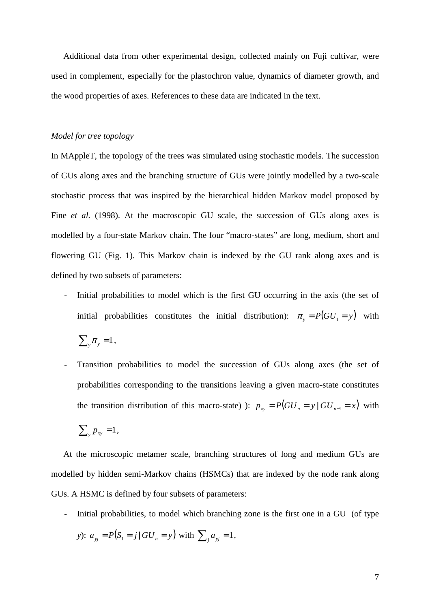Additional data from other experimental design, collected mainly on Fuji cultivar, were used in complement, especially for the plastochron value, dynamics of diameter growth, and the wood properties of axes. References to these data are indicated in the text.

#### *Model for tree topology*

In MAppleT, the topology of the trees was simulated using stochastic models. The succession of GUs along axes and the branching structure of GUs were jointly modelled by a two-scale stochastic process that was inspired by the hierarchical hidden Markov model proposed by Fine *et al.* (1998). At the macroscopic GU scale, the succession of GUs along axes is modelled by a four-state Markov chain. The four "macro-states" are long, medium, short and flowering GU (Fig. 1). This Markov chain is indexed by the GU rank along axes and is defined by two subsets of parameters:

- Initial probabilities to model which is the first GU occurring in the axis (the set of initial probabilities constitutes the initial distribution):  $\pi_y = P(GU_1 = y)$  with

$$
\sum_{y} \pi_{y} = 1,
$$

- Transition probabilities to model the succession of GUs along axes (the set of probabilities corresponding to the transitions leaving a given macro-state constitutes the transition distribution of this macro-state) ):  $p_{xy} = P(GU_x = y \mid GU_{x-1} = x)$  with

$$
\sum_{y} p_{xy} = 1,
$$

At the microscopic metamer scale, branching structures of long and medium GUs are modelled by hidden semi-Markov chains (HSMCs) that are indexed by the node rank along GUs. A HSMC is defined by four subsets of parameters:

- Initial probabilities, to model which branching zone is the first one in a GU (of type

y): 
$$
a_{yj} = P(S_1 = j | GU_n = y)
$$
 with  $\sum_j a_{yj} = 1$ ,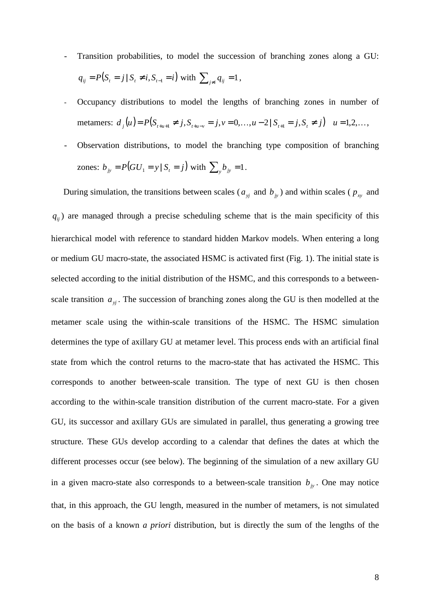- Transition probabilities, to model the succession of branching zones along a GU:  $q_{ij} = P(S_i = j | S_i \neq i, S_{i-1} = i)$  with  $\sum_{j \neq i} q_{ij} = 1$ ,
- Occupancy distributions to model the lengths of branching zones in number of metamers:  $d_j(u) = P(S_{t+u+1} \neq j, S_{t+u-v} = j, v = 0,...,u-2 | S_{t+1} = j, S_t \neq j)$   $u = 1, 2,...,$
- Observation distributions, to model the branching type composition of branching zones:  $b_{jy} = P(GU_1 = y | S_t = j)$  with  $\sum_{y} b_{jy} = 1$ .

During simulation, the transitions between scales ( $a_{yi}$  and  $b_{j}$ ) and within scales ( $p_{xy}$  and  $q_{ij}$ ) are managed through a precise scheduling scheme that is the main specificity of this hierarchical model with reference to standard hidden Markov models. When entering a long or medium GU macro-state, the associated HSMC is activated first (Fig. 1). The initial state is selected according to the initial distribution of the HSMC, and this corresponds to a betweenscale transition  $a_{yi}$ . The succession of branching zones along the GU is then modelled at the metamer scale using the within-scale transitions of the HSMC. The HSMC simulation determines the type of axillary GU at metamer level. This process ends with an artificial final state from which the control returns to the macro-state that has activated the HSMC. This corresponds to another between-scale transition. The type of next GU is then chosen according to the within-scale transition distribution of the current macro-state. For a given GU, its successor and axillary GUs are simulated in parallel, thus generating a growing tree structure. These GUs develop according to a calendar that defines the dates at which the different processes occur (see below). The beginning of the simulation of a new axillary GU in a given macro-state also corresponds to a between-scale transition  $b_{i\nu}$ . One may notice that, in this approach, the GU length, measured in the number of metamers, is not simulated on the basis of a known *a priori* distribution, but is directly the sum of the lengths of the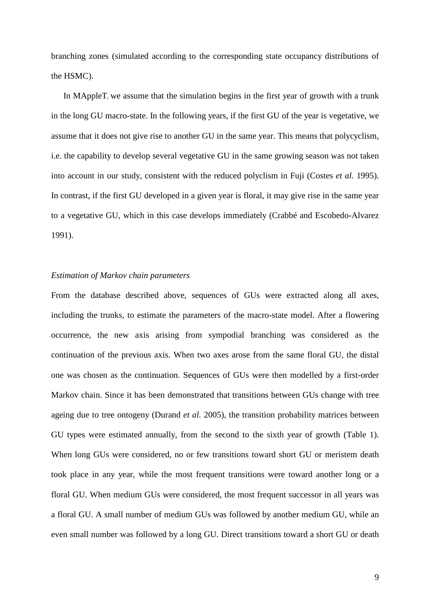branching zones (simulated according to the corresponding state occupancy distributions of the HSMC).

In MAppleT, we assume that the simulation begins in the first year of growth with a trunk in the long GU macro-state. In the following years, if the first GU of the year is vegetative, we assume that it does not give rise to another GU in the same year. This means that polycyclism, i.e. the capability to develop several vegetative GU in the same growing season was not taken into account in our study, consistent with the reduced polyclism in Fuji (Costes *et al.* 1995). In contrast, if the first GU developed in a given year is floral, it may give rise in the same year to a vegetative GU, which in this case develops immediately (Crabbé and Escobedo-Alvarez 1991).

## *Estimation of Markov chain parameters*

From the database described above, sequences of GUs were extracted along all axes, including the trunks, to estimate the parameters of the macro-state model. After a flowering occurrence, the new axis arising from sympodial branching was considered as the continuation of the previous axis. When two axes arose from the same floral GU, the distal one was chosen as the continuation. Sequences of GUs were then modelled by a first-order Markov chain. Since it has been demonstrated that transitions between GUs change with tree ageing due to tree ontogeny (Durand *et al.* 2005), the transition probability matrices between GU types were estimated annually, from the second to the sixth year of growth (Table 1). When long GUs were considered, no or few transitions toward short GU or meristem death took place in any year, while the most frequent transitions were toward another long or a floral GU. When medium GUs were considered, the most frequent successor in all years was a floral GU. A small number of medium GUs was followed by another medium GU, while an even small number was followed by a long GU. Direct transitions toward a short GU or death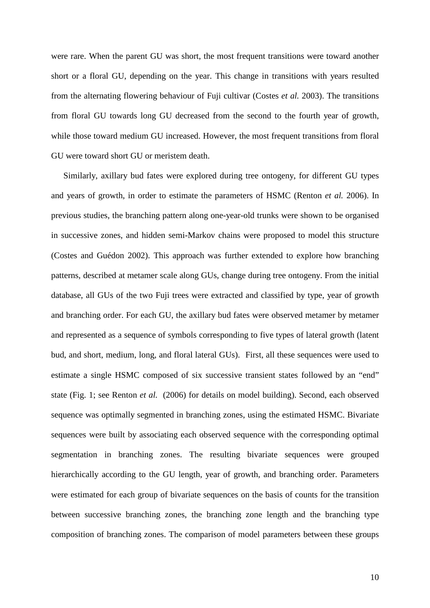were rare. When the parent GU was short, the most frequent transitions were toward another short or a floral GU, depending on the year. This change in transitions with years resulted from the alternating flowering behaviour of Fuji cultivar (Costes *et al.* 2003). The transitions from floral GU towards long GU decreased from the second to the fourth year of growth, while those toward medium GU increased. However, the most frequent transitions from floral GU were toward short GU or meristem death.

Similarly, axillary bud fates were explored during tree ontogeny, for different GU types and years of growth, in order to estimate the parameters of HSMC (Renton *et al.* 2006). In previous studies, the branching pattern along one-year-old trunks were shown to be organised in successive zones, and hidden semi-Markov chains were proposed to model this structure (Costes and Guédon 2002). This approach was further extended to explore how branching patterns, described at metamer scale along GUs, change during tree ontogeny. From the initial database, all GUs of the two Fuji trees were extracted and classified by type, year of growth and branching order. For each GU, the axillary bud fates were observed metamer by metamer and represented as a sequence of symbols corresponding to five types of lateral growth (latent bud, and short, medium, long, and floral lateral GUs). First, all these sequences were used to estimate a single HSMC composed of six successive transient states followed by an "end" state (Fig. 1; see Renton *et al.* (2006) for details on model building). Second, each observed sequence was optimally segmented in branching zones, using the estimated HSMC. Bivariate sequences were built by associating each observed sequence with the corresponding optimal segmentation in branching zones. The resulting bivariate sequences were grouped hierarchically according to the GU length, year of growth, and branching order. Parameters were estimated for each group of bivariate sequences on the basis of counts for the transition between successive branching zones, the branching zone length and the branching type composition of branching zones. The comparison of model parameters between these groups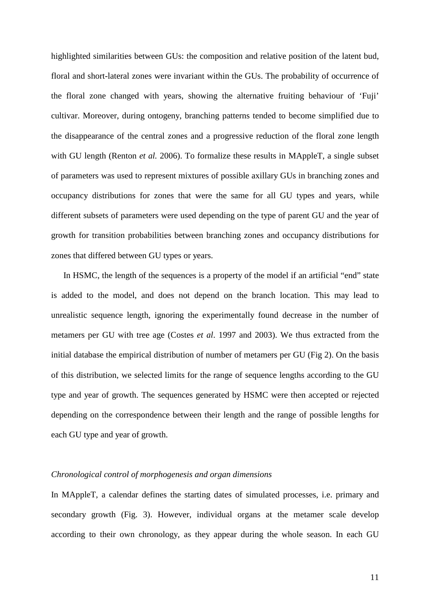highlighted similarities between GUs: the composition and relative position of the latent bud, floral and short-lateral zones were invariant within the GUs. The probability of occurrence of the floral zone changed with years, showing the alternative fruiting behaviour of 'Fuji' cultivar. Moreover, during ontogeny, branching patterns tended to become simplified due to the disappearance of the central zones and a progressive reduction of the floral zone length with GU length (Renton *et al.* 2006). To formalize these results in MAppleT, a single subset of parameters was used to represent mixtures of possible axillary GUs in branching zones and occupancy distributions for zones that were the same for all GU types and years, while different subsets of parameters were used depending on the type of parent GU and the year of growth for transition probabilities between branching zones and occupancy distributions for zones that differed between GU types or years.

In HSMC, the length of the sequences is a property of the model if an artificial "end" state is added to the model, and does not depend on the branch location. This may lead to unrealistic sequence length, ignoring the experimentally found decrease in the number of metamers per GU with tree age (Costes *et al*. 1997 and 2003). We thus extracted from the initial database the empirical distribution of number of metamers per GU (Fig 2). On the basis of this distribution, we selected limits for the range of sequence lengths according to the GU type and year of growth. The sequences generated by HSMC were then accepted or rejected depending on the correspondence between their length and the range of possible lengths for each GU type and year of growth.

### *Chronological control of morphogenesis and organ dimensions*

In MAppleT, a calendar defines the starting dates of simulated processes, i.e. primary and secondary growth (Fig. 3). However, individual organs at the metamer scale develop according to their own chronology, as they appear during the whole season. In each GU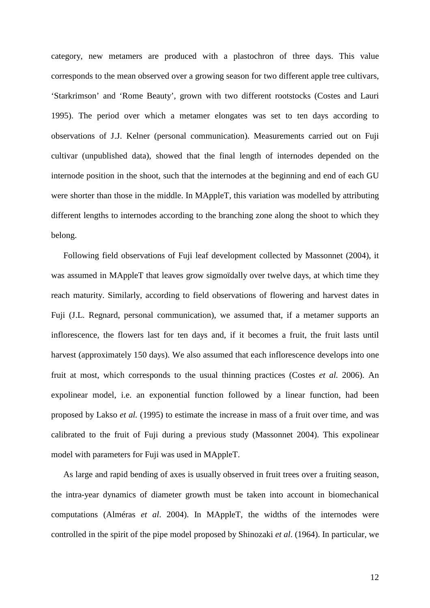category, new metamers are produced with a plastochron of three days. This value corresponds to the mean observed over a growing season for two different apple tree cultivars, 'Starkrimson' and 'Rome Beauty', grown with two different rootstocks (Costes and Lauri 1995). The period over which a metamer elongates was set to ten days according to observations of J.J. Kelner (personal communication). Measurements carried out on Fuji cultivar (unpublished data), showed that the final length of internodes depended on the internode position in the shoot, such that the internodes at the beginning and end of each GU were shorter than those in the middle. In MAppleT, this variation was modelled by attributing different lengths to internodes according to the branching zone along the shoot to which they belong.

Following field observations of Fuji leaf development collected by Massonnet (2004), it was assumed in MAppleT that leaves grow sigmoïdally over twelve days, at which time they reach maturity. Similarly, according to field observations of flowering and harvest dates in Fuji (J.L. Regnard, personal communication), we assumed that, if a metamer supports an inflorescence, the flowers last for ten days and, if it becomes a fruit, the fruit lasts until harvest (approximately 150 days). We also assumed that each inflorescence develops into one fruit at most, which corresponds to the usual thinning practices (Costes *et al.* 2006). An expolinear model, i.e. an exponential function followed by a linear function, had been proposed by Lakso *et al.* (1995) to estimate the increase in mass of a fruit over time, and was calibrated to the fruit of Fuji during a previous study (Massonnet 2004). This expolinear model with parameters for Fuji was used in MAppleT.

As large and rapid bending of axes is usually observed in fruit trees over a fruiting season, the intra-year dynamics of diameter growth must be taken into account in biomechanical computations (Alméras *et al*. 2004). In MAppleT, the widths of the internodes were controlled in the spirit of the pipe model proposed by Shinozaki *et al*. (1964). In particular, we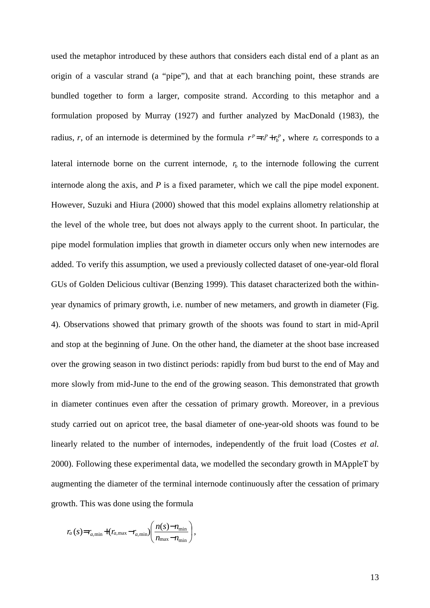used the metaphor introduced by these authors that considers each distal end of a plant as an origin of a vascular strand (a "pipe"), and that at each branching point, these strands are bundled together to form a larger, composite strand. According to this metaphor and a formulation proposed by Murray (1927) and further analyzed by MacDonald (1983), the radius, *r*, of an internode is determined by the formula  $r^p = r_a^p + r_b^p$ , where  $r_a$  corresponds to a lateral internode borne on the current internode,  $r<sub>b</sub>$  to the internode following the current internode along the axis, and *P* is a fixed parameter, which we call the pipe model exponent. However, Suzuki and Hiura (2000) showed that this model explains allometry relationship at the level of the whole tree, but does not always apply to the current shoot. In particular, the pipe model formulation implies that growth in diameter occurs only when new internodes are added. To verify this assumption, we used a previously collected dataset of one-year-old floral GUs of Golden Delicious cultivar (Benzing 1999). This dataset characterized both the withinyear dynamics of primary growth, i.e. number of new metamers, and growth in diameter (Fig. 4). Observations showed that primary growth of the shoots was found to start in mid-April and stop at the beginning of June. On the other hand, the diameter at the shoot base increased over the growing season in two distinct periods: rapidly from bud burst to the end of May and more slowly from mid-June to the end of the growing season. This demonstrated that growth in diameter continues even after the cessation of primary growth. Moreover, in a previous study carried out on apricot tree, the basal diameter of one-year-old shoots was found to be linearly related to the number of internodes, independently of the fruit load (Costes *et al.* 2000). Following these experimental data, we modelled the secondary growth in MAppleT by augmenting the diameter of the terminal internode continuously after the cessation of primary growth. This was done using the formula

$$
r_a(s) = r_{a,\min} + (r_{a,\max} - r_{a,\min}) \left( \frac{n(s) - n_{\min}}{n_{\max} - n_{\min}} \right),
$$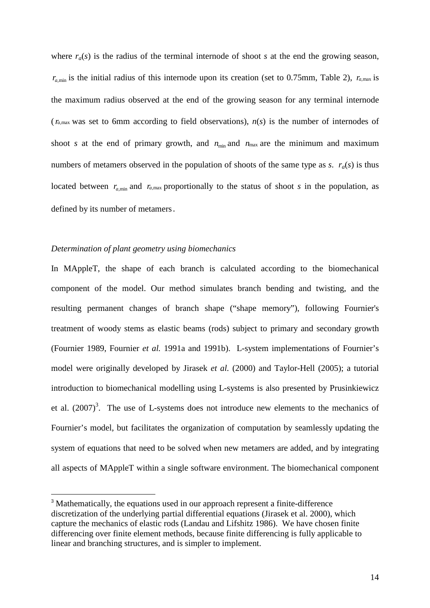where  $r_a(s)$  is the radius of the terminal internode of shoot *s* at the end the growing season,  $r_{a,min}$  is the initial radius of this internode upon its creation (set to 0.75mm, Table 2),  $r_{a,max}$  is the maximum radius observed at the end of the growing season for any terminal internode  $(r_{a,max}$  was set to 6mm according to field observations),  $n(s)$  is the number of internodes of shoot *s* at the end of primary growth, and  $n_{min}$  and  $n_{max}$  are the minimum and maximum numbers of metamers observed in the population of shoots of the same type as *s*.  $r_a(s)$  is thus located between  $r_{a,min}$  and  $r_{a,max}$  proportionally to the status of shoot *s* in the population, as defined by its number of metamers.

# *Determination of plant geometry using biomechanics*

 $\overline{a}$ 

In MAppleT, the shape of each branch is calculated according to the biomechanical component of the model. Our method simulates branch bending and twisting, and the resulting permanent changes of branch shape ("shape memory"), following Fournier's treatment of woody stems as elastic beams (rods) subject to primary and secondary growth (Fournier 1989, Fournier *et al.* 1991a and 1991b). L-system implementations of Fournier's model were originally developed by Jirasek *et al.* (2000) and Taylor-Hell (2005); a tutorial introduction to biomechanical modelling using L-systems is also presented by Prusinkiewicz et al.  $(2007)^3$ . The use of L-systems does not introduce new elements to the mechanics of Fournier's model, but facilitates the organization of computation by seamlessly updating the system of equations that need to be solved when new metamers are added, and by integrating all aspects of MAppleT within a single software environment. The biomechanical component

<sup>&</sup>lt;sup>3</sup> Mathematically, the equations used in our approach represent a finite-difference discretization of the underlying partial differential equations (Jirasek et al. 2000), which capture the mechanics of elastic rods (Landau and Lifshitz 1986). We have chosen finite differencing over finite element methods, because finite differencing is fully applicable to linear and branching structures, and is simpler to implement.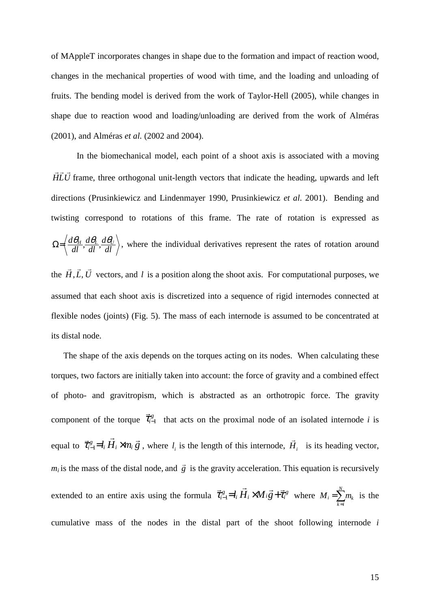of MAppleT incorporates changes in shape due to the formation and impact of reaction wood, changes in the mechanical properties of wood with time, and the loading and unloading of fruits. The bending model is derived from the work of Taylor-Hell (2005), while changes in shape due to reaction wood and loading/unloading are derived from the work of Alméras (2001), and Alméras *et al.* (2002 and 2004).

 In the biomechanical model, each point of a shoot axis is associated with a moving *HLU*  $\rightarrow$   $\rightarrow$   $\rightarrow$ frame, three orthogonal unit-length vectors that indicate the heading, upwards and left directions (Prusinkiewicz and Lindenmayer 1990, Prusinkiewicz *et al*. 2001). Bending and twisting correspond to rotations of this frame. The rate of rotation is expressed as *dl d dl d*  $\Omega = \left\langle \frac{d\theta_H}{dl}, \frac{d\theta_L}{dl}, \frac{d\theta_U}{dl} \right\rangle$ , where the individual derivatives represent the rates of rotation around the  $H, L, U$  $\rightarrow$   $\rightarrow$   $\rightarrow$  $, L, U$  vectors, and  $l$  is a position along the shoot axis. For computational purposes, we assumed that each shoot axis is discretized into a sequence of rigid internodes connected at flexible nodes (joints) (Fig. 5). The mass of each internode is assumed to be concentrated at its distal node.

The shape of the axis depends on the torques acting on its nodes. When calculating these torques, two factors are initially taken into account: the force of gravity and a combined effect of photo- and gravitropism, which is abstracted as an orthotropic force. The gravity component of the torque  $\vec{\tau}_{i-1}^g$  $\rightarrow$ that acts on the proximal node of an isolated internode *i* is equal to  $\vec{\tau}_{i-1}^g = l_i \vec{H}_i \times m_i \vec{g}$ *i*  $\overrightarrow{r}$  r  $\overrightarrow{r}$   $\overrightarrow{r}$  $\vec{\tau}_{i-1}^g = l_i H_i \times m_i \vec{g}$ , where  $l_i$  is the length of this internode,  $\vec{H}_i$ r is its heading vector,  $m_i$  is the mass of the distal node, and  $\vec{g}$  $\rightarrow$  is the gravity acceleration. This equation is recursively extended to an entire axis using the formula  $\vec{\tau}_{i-1}^g = l_i \vec{H}_i \times M_i \vec{g} + \vec{\tau}_i^g$  $\vec{r}$  r  $\vec{r}$  r  $\vec{r}$  $e_i = l_i \widetilde{H}_i \times M_i \overrightarrow{g} + \overrightarrow{\tau}_i^g$  where  $M_i = \sum_{k=i}^{N}$  $=\sum_{n=1}^{N}$ *k i*  $M_i = \sum m_k$  is the cumulative mass of the nodes in the distal part of the shoot following internode *i*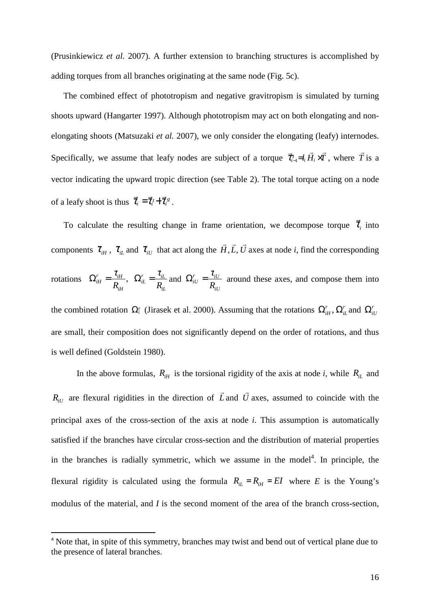(Prusinkiewicz *et al.* 2007). A further extension to branching structures is accomplished by adding torques from all branches originating at the same node (Fig. 5c).

The combined effect of phototropism and negative gravitropism is simulated by turning shoots upward (Hangarter 1997). Although phototropism may act on both elongating and nonelongating shoots (Matsuzaki *et al.* 2007), we only consider the elongating (leafy) internodes. Specifically, we assume that leafy nodes are subject of a torque  $\vec{\tau}_{i-1} = l_i H_i \times T$  $\rightarrow$  r r  $\rightarrow$  r  $\rightarrow$  $\vec{\tau}_{i-l}^{\tau} = l_i H_i \times T$ , where *T*  $\rightarrow$ is a vector indicating the upward tropic direction (see Table 2). The total torque acting on a node of a leafy shoot is thus  $\vec{\tau}_i = \vec{\tau}_i + \vec{\tau}_i^g$  $\rightarrow$   $\rightarrow$   $\rightarrow$  $= \vec{\tau}_i + \vec{\tau}_i^s$ .

To calculate the resulting change in frame orientation, we decompose torque  $\tau$  $\rightarrow$ into components  $\tau_{\scriptscriptstyle iH}$  ,  $\tau_{\scriptscriptstyle iL}$  and  $\tau_{\scriptscriptstyle iU}$  that act along the *H*,*L*, *U*  $\rightarrow$   $\rightarrow$   $\rightarrow$  $, L, U$  axes at node  $i$ , find the corresponding rotations  $\Omega_{iH}^r = \frac{v_{iH}}{R}$ , *iH*  $r = \mu_{iH}$ *iH R*  $\Omega^r_{iH} = \frac{\tau_i}{r}$ *iL*  $r = \mu_{iL}$ *iL R*  $\Omega_{iL}^r = \frac{\tau_{iL}}{R}$  and *iU*  $r = \mu_{iU}$  $^{iiU}$   $^ _R$  $\Omega_{iU}^r = \frac{\tau_{iU}}{R}$  around these axes, and compose them into

the combined rotation  $\Omega_i^r$  (Jirasek et al. 2000). Assuming that the rotations  $\Omega_{iH}^r$ ,  $\Omega_{iL}^r$  and  $\Omega_{iU}^r$ are small, their composition does not significantly depend on the order of rotations, and thus is well defined (Goldstein 1980).

In the above formulas,  $R_{iH}$  is the torsional rigidity of the axis at node *i*, while  $R_{iL}$  and  $R_{iU}$  are flexural rigidities in the direction of  $\tilde{L}$  $\rightarrow$ and *U*  $\overline{a}$ axes, assumed to coincide with the principal axes of the cross-section of the axis at node *i*. This assumption is automatically satisfied if the branches have circular cross-section and the distribution of material properties in the branches is radially symmetric, which we assume in the model $4$ . In principle, the flexural rigidity is calculated using the formula  $R_{iL} = R_{iH} = EI$  where *E* is the Young's modulus of the material, and *I* is the second moment of the area of the branch cross-section,

 $\overline{a}$ 

<sup>&</sup>lt;sup>4</sup> Note that, in spite of this symmetry, branches may twist and bend out of vertical plane due to the presence of lateral branches.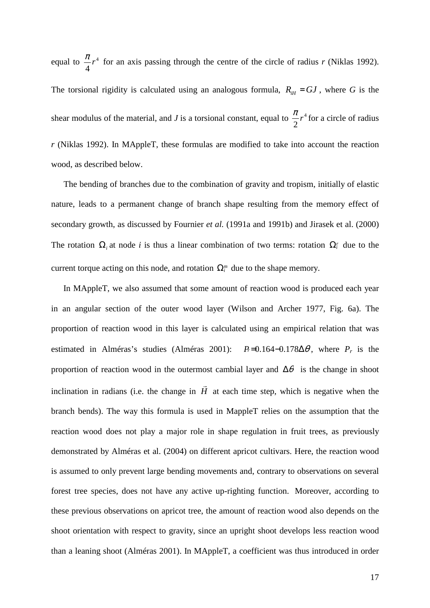equal to  $\frac{\pi}{4}r^4$ 4  $\frac{\pi}{4}r^4$  for an axis passing through the centre of the circle of radius *r* (Niklas 1992). The torsional rigidity is calculated using an analogous formula,  $R_{\text{H}} = GJ$ , where *G* is the shear modulus of the material, and *J* is a torsional constant, equal to  $\frac{\pi}{2}r^4$ 2  $\frac{\pi}{2}$  r<sup>4</sup> for a circle of radius *r* (Niklas 1992). In MAppleT, these formulas are modified to take into account the reaction wood, as described below.

The bending of branches due to the combination of gravity and tropism, initially of elastic nature, leads to a permanent change of branch shape resulting from the memory effect of secondary growth, as discussed by Fournier *et al.* (1991a and 1991b) and Jirasek et al. (2000) The rotation  $\Omega_i$  at node *i* is thus a linear combination of two terms: rotation  $\Omega_i^r$  due to the current torque acting on this node, and rotation  $\Omega_i^m$  due to the shape memory.

In MAppleT, we also assumed that some amount of reaction wood is produced each year in an angular section of the outer wood layer (Wilson and Archer 1977, Fig. 6a). The proportion of reaction wood in this layer is calculated using an empirical relation that was estimated in Alméras's studies (Alméras 2001):  $P = 0.164 - 0.178\Delta\theta$ , where  $P_r$  is the proportion of reaction wood in the outermost cambial layer and  $\Delta\theta$  is the change in shoot inclination in radians (i.e. the change in *H* r at each time step, which is negative when the branch bends). The way this formula is used in MappleT relies on the assumption that the reaction wood does not play a major role in shape regulation in fruit trees, as previously demonstrated by Alméras et al. (2004) on different apricot cultivars. Here, the reaction wood is assumed to only prevent large bending movements and, contrary to observations on several forest tree species, does not have any active up-righting function. Moreover, according to these previous observations on apricot tree, the amount of reaction wood also depends on the shoot orientation with respect to gravity, since an upright shoot develops less reaction wood than a leaning shoot (Alméras 2001). In MAppleT, a coefficient was thus introduced in order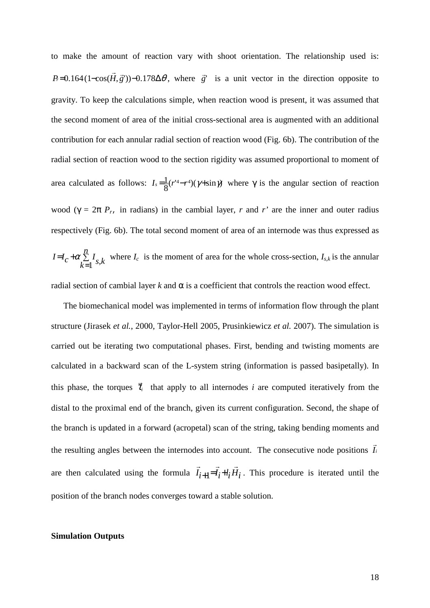to make the amount of reaction vary with shoot orientation. The relationship used is:  $P_r = 0.164 \left( 1 - \cos(H, \vec{g}^{\prime}) \right) - 0.178 \Delta \theta$  $\vec{r}$ , where  $\vec{g}$ <sup>'</sup>  $\rightarrow$ is a unit vector in the direction opposite to gravity. To keep the calculations simple, when reaction wood is present, it was assumed that the second moment of area of the initial cross-sectional area is augmented with an additional contribution for each annular radial section of reaction wood (Fig. 6b). The contribution of the radial section of reaction wood to the section rigidity was assumed proportional to moment of area calculated as follows:  $I_s = \frac{1}{8} (r^{14} - r^4) (\gamma + \sin \gamma)$  $I_s = \frac{1}{2}(r^4 - r^4)(\gamma + \sin \gamma)$  where  $\gamma$  is the angular section of reaction wood ( $\gamma = 2\pi P_r$ , in radians) in the cambial layer, *r* and *r'* are the inner and outer radius respectively (Fig. 6b). The total second moment of area of an internode was thus expressed as ∑ =  $= I<sub>e</sub> +$ *n*  $I = I_c + \alpha \sum_{k=1}^{n} I_{s,k}$  $\alpha \sum_{k=1}^{\infty} I_{s,k}$  where  $I_c$  is the moment of area for the whole cross-section,  $I_{s,k}$  is the annular radial section of cambial layer  $k$  and  $α$  is a coefficient that controls the reaction wood effect.

The biomechanical model was implemented in terms of information flow through the plant structure (Jirasek *et al.*, 2000, Taylor-Hell 2005, Prusinkiewicz *et al.* 2007). The simulation is carried out be iterating two computational phases. First, bending and twisting moments are calculated in a backward scan of the L-system string (information is passed basipetally). In this phase, the torques  $\vec{\tau}_i$  $\rightarrow$  that apply to all internodes *i* are computed iteratively from the distal to the proximal end of the branch, given its current configuration. Second, the shape of the branch is updated in a forward (acropetal) scan of the string, taking bending moments and the resulting angles between the internodes into account. The consecutive node positions *I<sup>i</sup>* r are then calculated using the formula  $I_{i+1} = I_i + I_i H_i$  $\rightarrow$   $\rightarrow$   $\rightarrow$  $+1 = I_i + I_i$   $H_i$ . This procedure is iterated until the position of the branch nodes converges toward a stable solution.

### **Simulation Outputs**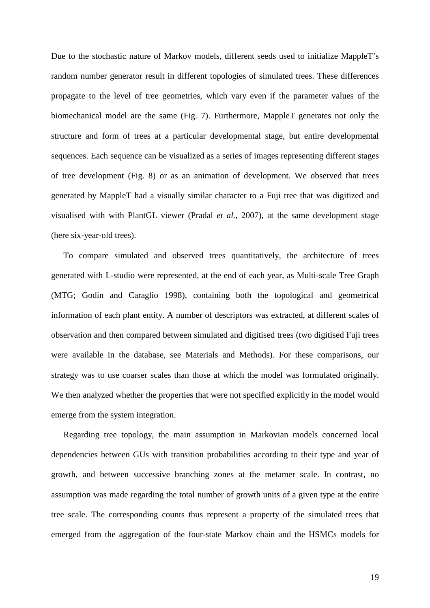Due to the stochastic nature of Markov models, different seeds used to initialize MappleT's random number generator result in different topologies of simulated trees. These differences propagate to the level of tree geometries, which vary even if the parameter values of the biomechanical model are the same (Fig. 7). Furthermore, MappleT generates not only the structure and form of trees at a particular developmental stage, but entire developmental sequences. Each sequence can be visualized as a series of images representing different stages of tree development (Fig. 8) or as an animation of development. We observed that trees generated by MappleT had a visually similar character to a Fuji tree that was digitized and visualised with with PlantGL viewer (Pradal *et al.*, 2007), at the same development stage (here six-year-old trees).

To compare simulated and observed trees quantitatively, the architecture of trees generated with L-studio were represented, at the end of each year, as Multi-scale Tree Graph (MTG; Godin and Caraglio 1998), containing both the topological and geometrical information of each plant entity. A number of descriptors was extracted, at different scales of observation and then compared between simulated and digitised trees (two digitised Fuji trees were available in the database, see Materials and Methods). For these comparisons, our strategy was to use coarser scales than those at which the model was formulated originally. We then analyzed whether the properties that were not specified explicitly in the model would emerge from the system integration.

Regarding tree topology, the main assumption in Markovian models concerned local dependencies between GUs with transition probabilities according to their type and year of growth, and between successive branching zones at the metamer scale. In contrast, no assumption was made regarding the total number of growth units of a given type at the entire tree scale. The corresponding counts thus represent a property of the simulated trees that emerged from the aggregation of the four-state Markov chain and the HSMCs models for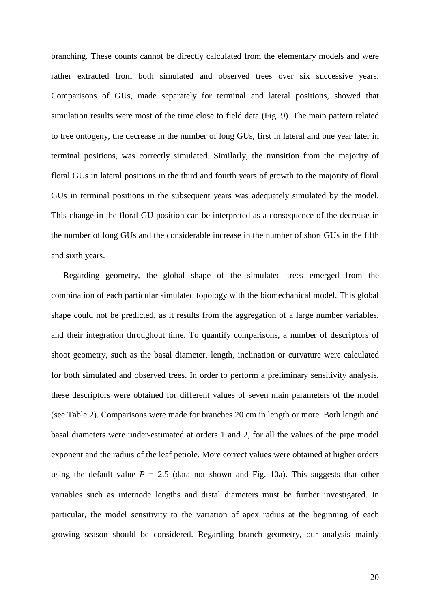branching. These counts cannot be directly calculated from the elementary models and were rather extracted from both simulated and observed trees over six successive years. Comparisons of GUs, made separately for terminal and lateral positions, showed that simulation results were most of the time close to field data (Fig. 9). The main pattern related to tree ontogeny, the decrease in the number of long GUs, first in lateral and one year later in terminal positions, was correctly simulated. Similarly, the transition from the majority of floral GUs in lateral positions in the third and fourth years of growth to the majority of floral GUs in terminal positions in the subsequent years was adequately simulated by the model. This change in the floral GU position can be interpreted as a consequence of the decrease in the number of long GUs and the considerable increase in the number of short GUs in the fifth and sixth years.

Regarding geometry, the global shape of the simulated trees emerged from the combination of each particular simulated topology with the biomechanical model. This global shape could not be predicted, as it results from the aggregation of a large number variables, and their integration throughout time. To quantify comparisons, a number of descriptors of shoot geometry, such as the basal diameter, length, inclination or curvature were calculated for both simulated and observed trees. In order to perform a preliminary sensitivity analysis, these descriptors were obtained for different values of seven main parameters of the model (see Table 2). Comparisons were made for branches 20 cm in length or more. Both length and basal diameters were under-estimated at orders 1 and 2, for all the values of the pipe model exponent and the radius of the leaf petiole. More correct values were obtained at higher orders using the default value  $P = 2.5$  (data not shown and Fig. 10a). This suggests that other variables such as internode lengths and distal diameters must be further investigated. In particular, the model sensitivity to the variation of apex radius at the beginning of each growing season should be considered. Regarding branch geometry, our analysis mainly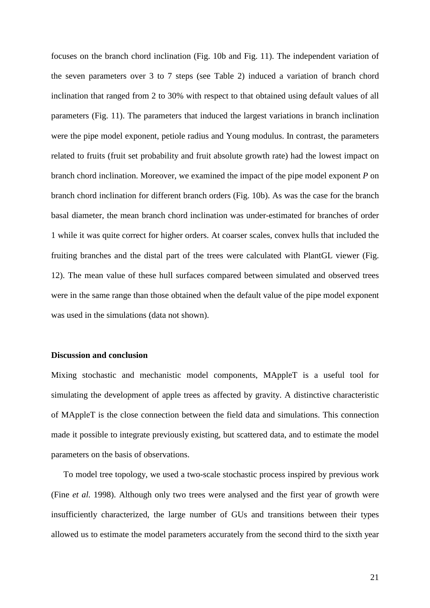focuses on the branch chord inclination (Fig. 10b and Fig. 11). The independent variation of the seven parameters over 3 to 7 steps (see Table 2) induced a variation of branch chord inclination that ranged from 2 to 30% with respect to that obtained using default values of all parameters (Fig. 11). The parameters that induced the largest variations in branch inclination were the pipe model exponent, petiole radius and Young modulus. In contrast, the parameters related to fruits (fruit set probability and fruit absolute growth rate) had the lowest impact on branch chord inclination. Moreover, we examined the impact of the pipe model exponent *P* on branch chord inclination for different branch orders (Fig. 10b). As was the case for the branch basal diameter, the mean branch chord inclination was under-estimated for branches of order 1 while it was quite correct for higher orders. At coarser scales, convex hulls that included the fruiting branches and the distal part of the trees were calculated with PlantGL viewer (Fig. 12). The mean value of these hull surfaces compared between simulated and observed trees were in the same range than those obtained when the default value of the pipe model exponent was used in the simulations (data not shown).

## **Discussion and conclusion**

Mixing stochastic and mechanistic model components, MAppleT is a useful tool for simulating the development of apple trees as affected by gravity. A distinctive characteristic of MAppleT is the close connection between the field data and simulations. This connection made it possible to integrate previously existing, but scattered data, and to estimate the model parameters on the basis of observations.

To model tree topology, we used a two-scale stochastic process inspired by previous work (Fine *et al.* 1998). Although only two trees were analysed and the first year of growth were insufficiently characterized, the large number of GUs and transitions between their types allowed us to estimate the model parameters accurately from the second third to the sixth year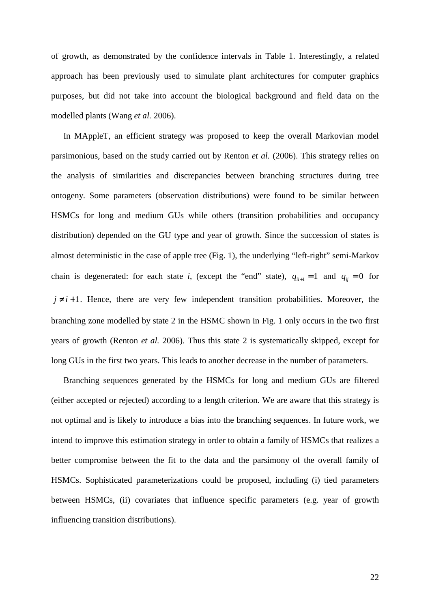of growth, as demonstrated by the confidence intervals in Table 1. Interestingly, a related approach has been previously used to simulate plant architectures for computer graphics purposes, but did not take into account the biological background and field data on the modelled plants (Wang *et al.* 2006).

In MAppleT, an efficient strategy was proposed to keep the overall Markovian model parsimonious, based on the study carried out by Renton *et al.* (2006). This strategy relies on the analysis of similarities and discrepancies between branching structures during tree ontogeny. Some parameters (observation distributions) were found to be similar between HSMCs for long and medium GUs while others (transition probabilities and occupancy distribution) depended on the GU type and year of growth. Since the succession of states is almost deterministic in the case of apple tree (Fig. 1), the underlying "left-right" semi-Markov chain is degenerated: for each state *i*, (except the "end" state),  $q_{ii+1} = 1$  and  $q_{ij} = 0$  for  $j \neq i+1$ . Hence, there are very few independent transition probabilities. Moreover, the branching zone modelled by state 2 in the HSMC shown in Fig. 1 only occurs in the two first years of growth (Renton *et al.* 2006). Thus this state 2 is systematically skipped, except for long GUs in the first two years. This leads to another decrease in the number of parameters.

Branching sequences generated by the HSMCs for long and medium GUs are filtered (either accepted or rejected) according to a length criterion. We are aware that this strategy is not optimal and is likely to introduce a bias into the branching sequences. In future work, we intend to improve this estimation strategy in order to obtain a family of HSMCs that realizes a better compromise between the fit to the data and the parsimony of the overall family of HSMCs. Sophisticated parameterizations could be proposed, including (i) tied parameters between HSMCs, (ii) covariates that influence specific parameters (e.g. year of growth influencing transition distributions).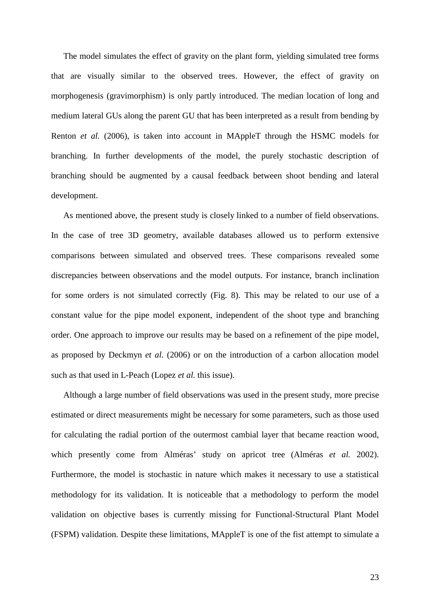The model simulates the effect of gravity on the plant form, yielding simulated tree forms that are visually similar to the observed trees. However, the effect of gravity on morphogenesis (gravimorphism) is only partly introduced. The median location of long and medium lateral GUs along the parent GU that has been interpreted as a result from bending by Renton *et al.* (2006), is taken into account in MAppleT through the HSMC models for branching. In further developments of the model, the purely stochastic description of branching should be augmented by a causal feedback between shoot bending and lateral development.

As mentioned above, the present study is closely linked to a number of field observations. In the case of tree 3D geometry, available databases allowed us to perform extensive comparisons between simulated and observed trees. These comparisons revealed some discrepancies between observations and the model outputs. For instance, branch inclination for some orders is not simulated correctly (Fig. 8). This may be related to our use of a constant value for the pipe model exponent, independent of the shoot type and branching order. One approach to improve our results may be based on a refinement of the pipe model, as proposed by Deckmyn *et al.* (2006) or on the introduction of a carbon allocation model such as that used in L-Peach (Lopez *et al.* this issue).

Although a large number of field observations was used in the present study, more precise estimated or direct measurements might be necessary for some parameters, such as those used for calculating the radial portion of the outermost cambial layer that became reaction wood, which presently come from Alméras' study on apricot tree (Alméras *et al.* 2002). Furthermore, the model is stochastic in nature which makes it necessary to use a statistical methodology for its validation. It is noticeable that a methodology to perform the model validation on objective bases is currently missing for Functional-Structural Plant Model (FSPM) validation. Despite these limitations, MAppleT is one of the fist attempt to simulate a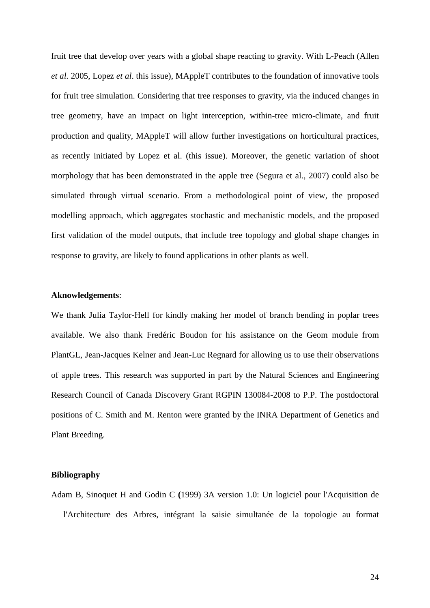fruit tree that develop over years with a global shape reacting to gravity. With L-Peach (Allen *et al.* 2005, Lopez *et al*. this issue), MAppleT contributes to the foundation of innovative tools for fruit tree simulation. Considering that tree responses to gravity, via the induced changes in tree geometry, have an impact on light interception, within-tree micro-climate, and fruit production and quality, MAppleT will allow further investigations on horticultural practices, as recently initiated by Lopez et al. (this issue). Moreover, the genetic variation of shoot morphology that has been demonstrated in the apple tree (Segura et al., 2007) could also be simulated through virtual scenario. From a methodological point of view, the proposed modelling approach, which aggregates stochastic and mechanistic models, and the proposed first validation of the model outputs, that include tree topology and global shape changes in response to gravity, are likely to found applications in other plants as well.

## **Aknowledgements**:

We thank Julia Taylor-Hell for kindly making her model of branch bending in poplar trees available. We also thank Fredéric Boudon for his assistance on the Geom module from PlantGL, Jean-Jacques Kelner and Jean-Luc Regnard for allowing us to use their observations of apple trees. This research was supported in part by the Natural Sciences and Engineering Research Council of Canada Discovery Grant RGPIN 130084-2008 to P.P. The postdoctoral positions of C. Smith and M. Renton were granted by the INRA Department of Genetics and Plant Breeding.

### **Bibliography**

Adam B, Sinoquet H and Godin C **(**1999) 3A version 1.0: Un logiciel pour l'Acquisition de l'Architecture des Arbres, intégrant la saisie simultanée de la topologie au format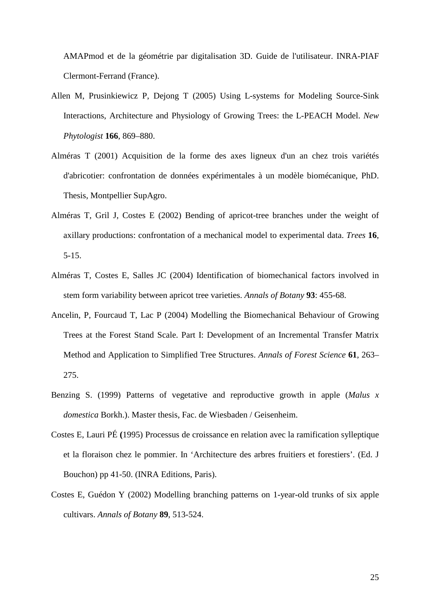AMAPmod et de la géométrie par digitalisation 3D. Guide de l'utilisateur. INRA-PIAF Clermont-Ferrand (France).

- Allen M, Prusinkiewicz P, Dejong T (2005) Using L-systems for Modeling Source-Sink Interactions, Architecture and Physiology of Growing Trees: the L-PEACH Model. *New Phytologist* **166**, 869–880.
- Alméras T (2001) Acquisition de la forme des axes ligneux d'un an chez trois variétés d'abricotier: confrontation de données expérimentales à un modèle biomécanique, PhD. Thesis, Montpellier SupAgro.
- Alméras T, Gril J, Costes E (2002) Bending of apricot-tree branches under the weight of axillary productions: confrontation of a mechanical model to experimental data. *Trees* **16**, 5-15.
- Alméras T, Costes E, Salles JC (2004) Identification of biomechanical factors involved in stem form variability between apricot tree varieties. *Annals of Botany* **93**: 455-68.
- Ancelin, P, Fourcaud T, Lac P (2004) Modelling the Biomechanical Behaviour of Growing Trees at the Forest Stand Scale. Part I: Development of an Incremental Transfer Matrix Method and Application to Simplified Tree Structures. *Annals of Forest Science* **61**, 263– 275.
- Benzing S. (1999) Patterns of vegetative and reproductive growth in apple (*Malus x domestica* Borkh.). Master thesis, Fac. de Wiesbaden / Geisenheim.
- Costes E, Lauri PÉ **(**1995) Processus de croissance en relation avec la ramification sylleptique et la floraison chez le pommier. In 'Architecture des arbres fruitiers et forestiers'. (Ed. J Bouchon) pp 41-50. (INRA Editions, Paris).
- Costes E, Guédon Y (2002) Modelling branching patterns on 1-year-old trunks of six apple cultivars. *Annals of Botany* **89**, 513-524.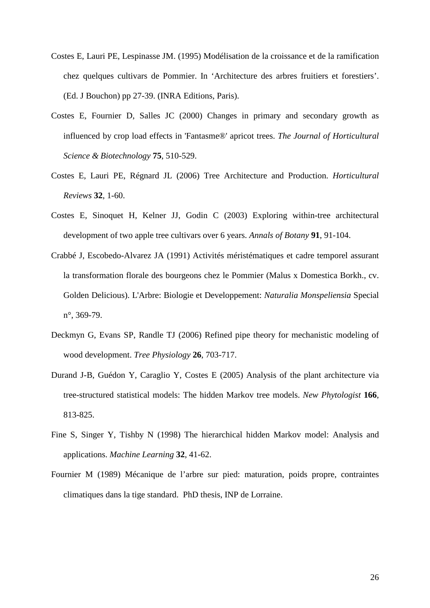- Costes E, Lauri PE, Lespinasse JM. (1995) Modélisation de la croissance et de la ramification chez quelques cultivars de Pommier. In 'Architecture des arbres fruitiers et forestiers'. (Ed. J Bouchon) pp 27-39. (INRA Editions, Paris).
- Costes E, Fournier D, Salles JC (2000) Changes in primary and secondary growth as influenced by crop load effects in 'Fantasme®' apricot trees. *The Journal of Horticultural Science & Biotechnology* **75**, 510-529.
- Costes E, Lauri PE, Régnard JL (2006) Tree Architecture and Production. *Horticultural Reviews* **32**, 1-60.
- Costes E, Sinoquet H, Kelner JJ, Godin C (2003) Exploring within-tree architectural development of two apple tree cultivars over 6 years. *Annals of Botany* **91**, 91-104.
- Crabbé J, Escobedo-Alvarez JA (1991) Activités méristématiques et cadre temporel assurant la transformation florale des bourgeons chez le Pommier (Malus x Domestica Borkh., cv. Golden Delicious). L'Arbre: Biologie et Developpement: *Naturalia Monspeliensia* Special n°, 369-79.
- Deckmyn G, Evans SP, Randle TJ (2006) Refined pipe theory for mechanistic modeling of wood development. *Tree Physiology* **26**, 703-717.
- Durand J-B, Guédon Y, Caraglio Y, Costes E (2005) Analysis of the plant architecture via tree-structured statistical models: The hidden Markov tree models. *New Phytologist* **166**, 813-825.
- Fine S, Singer Y, Tishby N (1998) The hierarchical hidden Markov model: Analysis and applications. *Machine Learning* **32**, 41-62.
- Fournier M (1989) Mécanique de l'arbre sur pied: maturation, poids propre, contraintes climatiques dans la tige standard. PhD thesis, INP de Lorraine.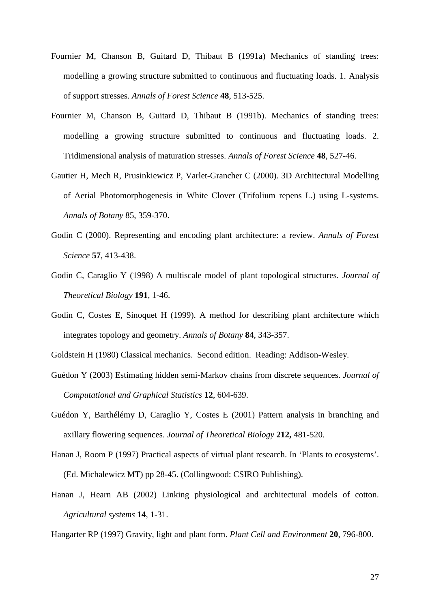- Fournier M, Chanson B, Guitard D, Thibaut B (1991a) Mechanics of standing trees: modelling a growing structure submitted to continuous and fluctuating loads. 1. Analysis of support stresses. *Annals of Forest Science* **48**, 513-525.
- Fournier M, Chanson B, Guitard D, Thibaut B (1991b). Mechanics of standing trees: modelling a growing structure submitted to continuous and fluctuating loads. 2. Tridimensional analysis of maturation stresses. *Annals of Forest Science* **48**, 527-46.
- Gautier H, Mech R, Prusinkiewicz P, Varlet-Grancher C (2000). 3D Architectural Modelling of Aerial Photomorphogenesis in White Clover (Trifolium repens L.) using L-systems. *Annals of Botany* 85, 359-370.
- Godin C (2000). Representing and encoding plant architecture: a review. *Annals of Forest Science* **57**, 413-438.
- Godin C, Caraglio Y (1998) A multiscale model of plant topological structures. *Journal of Theoretical Biology* **191**, 1-46.
- Godin C, Costes E, Sinoquet H (1999). A method for describing plant architecture which integrates topology and geometry. *Annals of Botany* **84**, 343-357.
- Goldstein H (1980) Classical mechanics. Second edition. Reading: Addison-Wesley.
- Guédon Y (2003) Estimating hidden semi-Markov chains from discrete sequences. *Journal of Computational and Graphical Statistics* **12**, 604-639.
- Guédon Y, Barthélémy D, Caraglio Y, Costes E (2001) Pattern analysis in branching and axillary flowering sequences. *Journal of Theoretical Biology* **212,** 481-520.
- Hanan J, Room P (1997) Practical aspects of virtual plant research. In 'Plants to ecosystems'. (Ed. Michalewicz MT) pp 28-45. (Collingwood: CSIRO Publishing).
- Hanan J, Hearn AB (2002) Linking physiological and architectural models of cotton. *Agricultural systems* **14**, 1-31.
- Hangarter RP (1997) Gravity, light and plant form. *Plant Cell and Environment* **20**, 796-800.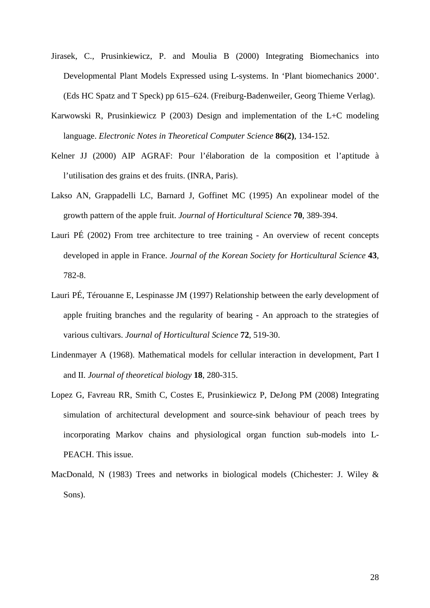- Jirasek, C., Prusinkiewicz, P. and Moulia B (2000) Integrating Biomechanics into Developmental Plant Models Expressed using L-systems. In 'Plant biomechanics 2000'. (Eds HC Spatz and T Speck) pp 615–624. (Freiburg-Badenweiler, Georg Thieme Verlag).
- Karwowski R, Prusinkiewicz P (2003) Design and implementation of the L+C modeling language. *Electronic Notes in Theoretical Computer Science* **86(2)**, 134-152.
- Kelner JJ (2000) AIP AGRAF: Pour l'élaboration de la composition et l'aptitude à l'utilisation des grains et des fruits. (INRA, Paris).
- Lakso AN, Grappadelli LC, Barnard J, Goffinet MC (1995) An expolinear model of the growth pattern of the apple fruit. *Journal of Horticultural Science* **70**, 389-394.
- Lauri PÉ (2002) From tree architecture to tree training An overview of recent concepts developed in apple in France. *Journal of the Korean Society for Horticultural Science* **43**, 782-8.
- Lauri PÉ, Térouanne E, Lespinasse JM (1997) Relationship between the early development of apple fruiting branches and the regularity of bearing - An approach to the strategies of various cultivars. *Journal of Horticultural Science* **72**, 519-30.
- Lindenmayer A (1968). Mathematical models for cellular interaction in development, Part I and II. *Journal of theoretical biology* **18**, 280-315.
- Lopez G, Favreau RR, Smith C, Costes E, Prusinkiewicz P, DeJong PM (2008) Integrating simulation of architectural development and source-sink behaviour of peach trees by incorporating Markov chains and physiological organ function sub-models into L-PEACH. This issue.
- MacDonald, N (1983) Trees and networks in biological models (Chichester: J. Wiley & Sons).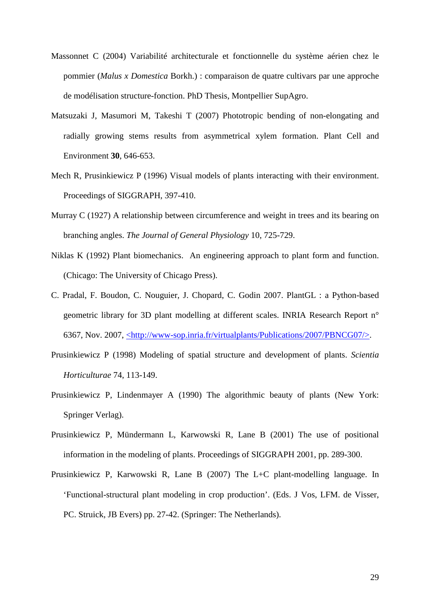- Massonnet C (2004) Variabilité architecturale et fonctionnelle du système aérien chez le pommier (*Malus x Domestica* Borkh.) : comparaison de quatre cultivars par une approche de modélisation structure-fonction. PhD Thesis, Montpellier SupAgro.
- Matsuzaki J, Masumori M, Takeshi T (2007) Phototropic bending of non-elongating and radially growing stems results from asymmetrical xylem formation. Plant Cell and Environment **30**, 646-653.
- Mech R, Prusinkiewicz P (1996) Visual models of plants interacting with their environment. Proceedings of SIGGRAPH, 397-410.
- Murray C (1927) A relationship between circumference and weight in trees and its bearing on branching angles. *The Journal of General Physiology* 10, 725-729.
- Niklas K (1992) Plant biomechanics. An engineering approach to plant form and function. (Chicago: The University of Chicago Press).
- C. Pradal, F. Boudon, C. Nouguier, J. Chopard, C. Godin 2007. PlantGL : a Python-based geometric library for 3D plant modelling at different scales. INRIA Research Report n° 6367, Nov. 2007, <http://www-sop.inria.fr/virtualplants/Publications/2007/PBNCG07/>.
- Prusinkiewicz P (1998) Modeling of spatial structure and development of plants. *Scientia Horticulturae* 74, 113-149.
- Prusinkiewicz P, Lindenmayer A (1990) The algorithmic beauty of plants (New York: Springer Verlag).
- Prusinkiewicz P, Mündermann L, Karwowski R, Lane B (2001) The use of positional information in the modeling of plants. Proceedings of SIGGRAPH 2001, pp. 289-300.
- Prusinkiewicz P, Karwowski R, Lane B (2007) The L+C plant-modelling language. In 'Functional-structural plant modeling in crop production'. (Eds. J Vos, LFM. de Visser, PC. Struick, JB Evers) pp. 27-42. (Springer: The Netherlands).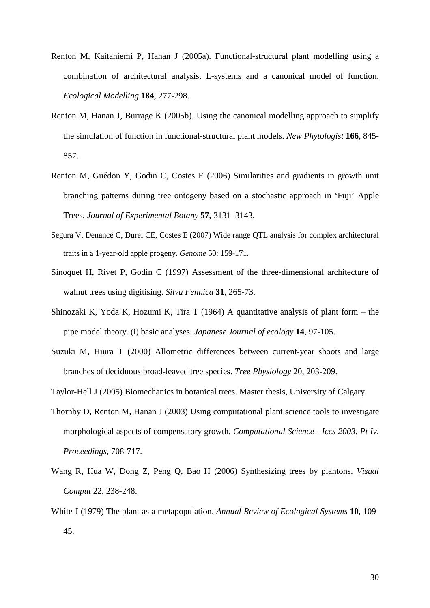- Renton M, Kaitaniemi P, Hanan J (2005a). Functional-structural plant modelling using a combination of architectural analysis, L-systems and a canonical model of function. *Ecological Modelling* **184**, 277-298.
- Renton M, Hanan J, Burrage K (2005b). Using the canonical modelling approach to simplify the simulation of function in functional-structural plant models. *New Phytologist* **166**, 845- 857.
- Renton M, Guédon Y, Godin C, Costes E (2006) Similarities and gradients in growth unit branching patterns during tree ontogeny based on a stochastic approach in 'Fuji' Apple Trees. *Journal of Experimental Botany* **57,** 3131–3143.
- Segura V, Denancé C, Durel CE, Costes E (2007) Wide range QTL analysis for complex architectural traits in a 1-year-old apple progeny. *Genome* 50: 159-171.
- Sinoquet H, Rivet P, Godin C (1997) Assessment of the three-dimensional architecture of walnut trees using digitising. *Silva Fennica* **31**, 265-73.
- Shinozaki K, Yoda K, Hozumi K, Tira T (1964) A quantitative analysis of plant form the pipe model theory. (i) basic analyses. *Japanese Journal of ecology* **14**, 97-105.
- Suzuki M, Hiura T (2000) Allometric differences between current-year shoots and large branches of deciduous broad-leaved tree species. *Tree Physiology* 20, 203-209.
- Taylor-Hell J (2005) Biomechanics in botanical trees. Master thesis, University of Calgary.
- Thornby D, Renton M, Hanan J (2003) Using computational plant science tools to investigate morphological aspects of compensatory growth. *Computational Science - Iccs 2003, Pt Iv, Proceedings*, 708-717.
- Wang R, Hua W, Dong Z, Peng Q, Bao H (2006) Synthesizing trees by plantons. *Visual Comput* 22, 238-248.
- White J (1979) The plant as a metapopulation. *Annual Review of Ecological Systems* **10**, 109- 45.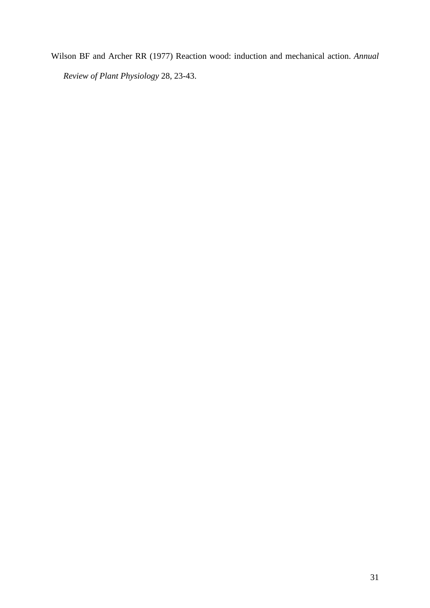Wilson BF and Archer RR (1977) Reaction wood: induction and mechanical action. *Annual Review of Plant Physiology* 28, 23-43.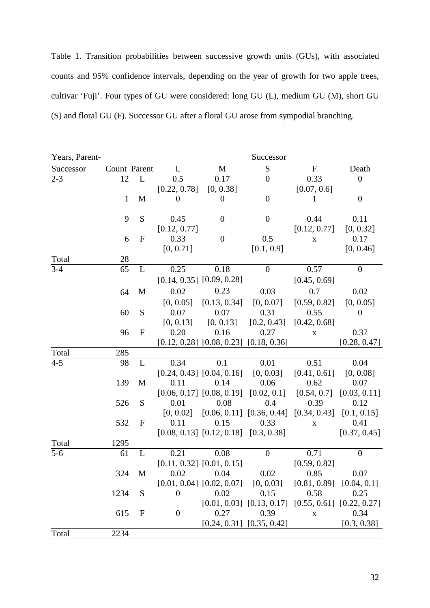Table 1. Transition probabilities between successive growth units (GUs), with associated counts and 95% confidence intervals, depending on the year of growth for two apple trees, cultivar 'Fuji'. Four types of GU were considered: long GU (L), medium GU (M), short GU (S) and floral GU (F). Successor GU after a floral GU arose from sympodial branching.

| Years, Parent- |              |              |                  |                                              | Successor                     |              |                  |
|----------------|--------------|--------------|------------------|----------------------------------------------|-------------------------------|--------------|------------------|
| Successor      | Count Parent |              | L                | M                                            | S                             | $\mathbf F$  | Death            |
| $2 - 3$        | 12           | L            | 0.5              | 0.17                                         | $\overline{0}$                | 0.33         | $\boldsymbol{0}$ |
|                |              |              | [0.22, 0.78]     | [0, 0.38]                                    |                               | [0.07, 0.6]  |                  |
|                | $\mathbf{1}$ | M            | $\theta$         | $\theta$                                     | $\theta$                      | 1            | $\boldsymbol{0}$ |
|                |              |              |                  |                                              |                               |              |                  |
|                | 9            | S            | 0.45             | $\theta$                                     | $\theta$                      | 0.44         | 0.11             |
|                |              |              | [0.12, 0.77]     |                                              |                               | [0.12, 0.77] | [0, 0.32]        |
|                | 6            | $\mathbf F$  | 0.33             | $\boldsymbol{0}$                             | 0.5                           | $\mathbf X$  | 0.17             |
|                |              |              | [0, 0.71]        |                                              | [0.1, 0.9]                    |              | [0, 0.46]        |
| Total          | 28           |              |                  |                                              |                               |              |                  |
| $3 - 4$        | 65           | L            | 0.25             | 0.18                                         | $\overline{0}$                | 0.57         | $\overline{0}$   |
|                |              |              |                  | $[0.14, 0.35]$ $[0.09, 0.28]$                |                               | [0.45, 0.69] |                  |
|                | 64           | M            | 0.02             | 0.23                                         | 0.03                          | 0.7          | 0.02             |
|                |              |              | [0, 0.05]        | [0.13, 0.34]                                 | [0, 0.07]                     | [0.59, 0.82] | [0, 0.05]        |
|                | 60           | S            | 0.07             | 0.07                                         | 0.31                          | 0.55         | $\theta$         |
|                |              |              | [0, 0.13]        | [0, 0.13]                                    | [0.2, 0.43]                   | [0.42, 0.68] |                  |
|                | 96           | $\mathbf F$  | 0.20             | 0.16                                         | 0.27                          | $\mathbf X$  | 0.37             |
|                |              |              |                  | $[0.12, 0.28]$ $[0.08, 0.23]$ $[0.18, 0.36]$ |                               |              | [0.28, 0.47]     |
| Total          | 285          |              |                  |                                              |                               |              |                  |
| $4 - 5$        | 98           | L            | 0.34             | 0.1                                          | 0.01                          | 0.51         | 0.04             |
|                |              |              |                  | $[0.24, 0.43]$ $[0.04, 0.16]$                | [0, 0.03]                     | [0.41, 0.61] | [0, 0.08]        |
|                | 139          | M            | 0.11             | 0.14                                         | 0.06                          | 0.62         | 0.07             |
|                |              |              |                  | $[0.06, 0.17]$ $[0.08, 0.19]$                | [0.02, 0.1]                   | [0.54, 0.7]  | [0.03, 0.11]     |
|                | 526          | S            | 0.01             | 0.08                                         | 0.4                           | 0.39         | 0.12             |
|                |              |              | [0, 0.02]        |                                              | $[0.06, 0.11]$ $[0.36, 0.44]$ | [0.34, 0.43] | [0.1, 0.15]      |
|                | 532          | $\mathbf{F}$ | 0.11             | 0.15                                         | 0.33                          | $\mathbf X$  | 0.41             |
|                |              |              |                  | $[0.08, 0.13]$ $[0.12, 0.18]$ $[0.3, 0.38]$  |                               |              | [0.37, 0.45]     |
| Total          | 1295         |              |                  |                                              |                               |              |                  |
| $5-6$          | 61           | L            | 0.21             | 0.08                                         | $\boldsymbol{0}$              | 0.71         | $\boldsymbol{0}$ |
|                |              |              |                  | $[0.11, 0.32]$ $[0.01, 0.15]$                |                               | [0.59, 0.82] |                  |
|                | 324          | M            | 0.02             | 0.04                                         | 0.02                          | 0.85         | 0.07             |
|                |              |              |                  | $[0.01, 0.04]$ $[0.02, 0.07]$                | [0, 0.03]                     | [0.81, 0.89] | [0.04, 0.1]      |
|                | 1234         | S            | $\boldsymbol{0}$ | 0.02                                         | 0.15                          | 0.58         | 0.25             |
|                |              |              |                  |                                              | $[0.01, 0.03]$ $[0.13, 0.17]$ | [0.55, 0.61] | [0.22, 0.27]     |
|                | 615          | $\mathbf{F}$ | $\mathbf{0}$     | 0.27                                         | 0.39                          | $\mathbf X$  | 0.34             |
|                |              |              |                  | $[0.24, 0.31]$ $[0.35, 0.42]$                |                               |              | [0.3, 0.38]      |
| Total          | 2234         |              |                  |                                              |                               |              |                  |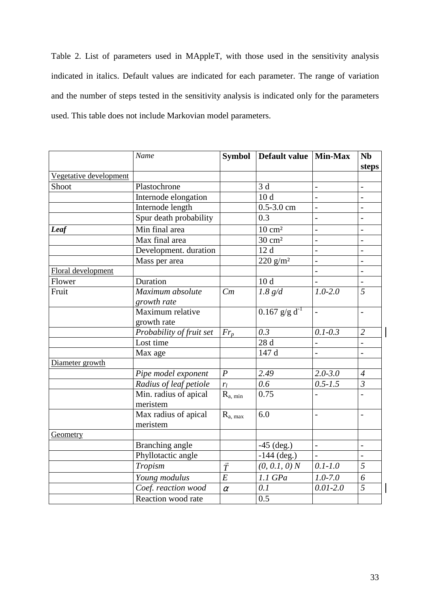Table 2. List of parameters used in MAppleT, with those used in the sensitivity analysis indicated in italics. Default values are indicated for each parameter. The range of variation and the number of steps tested in the sensitivity analysis is indicated only for the parameters used. This table does not include Markovian model parameters.

|                        | Name                              | <b>Symbol</b>  | Default value   Min-Max     |                | <b>Nb</b><br>steps |
|------------------------|-----------------------------------|----------------|-----------------------------|----------------|--------------------|
| Vegetative development |                                   |                |                             |                |                    |
| Shoot                  | Plastochrone                      |                | 3d                          |                |                    |
|                        | Internode elongation              |                | 10 <sub>d</sub>             | $\overline{a}$ |                    |
|                        | Internode length                  |                | $0.5 - 3.0$ cm              | $\overline{a}$ |                    |
|                        | Spur death probability            |                | 0.3                         |                |                    |
| Leaf                   | Min final area                    |                | $\frac{10 \text{ cm}^2}{2}$ |                |                    |
|                        | Max final area                    |                | $30 \text{ cm}^2$           | $\overline{a}$ | $\overline{a}$     |
|                        | Development. duration             |                | 12d                         |                |                    |
|                        | Mass per area                     |                | 220 g/m <sup>2</sup>        | $\overline{a}$ |                    |
| Floral development     |                                   |                |                             |                |                    |
| Flower                 | Duration                          |                | 10 <sub>d</sub>             |                |                    |
| Fruit                  | Maximum absolute<br>growth rate   | Cm             | 1.8 g/d                     | $1.0 - 2.0$    | $\overline{5}$     |
|                        | Maximum relative<br>growth rate   |                | $0.167$ g/g d <sup>-1</sup> | $\overline{a}$ |                    |
|                        | Probability of fruit set          | $Fr_p$         | 0.3                         | $0.1 - 0.3$    | $\overline{2}$     |
|                        | Lost time                         |                | 28d                         |                |                    |
|                        | Max age                           |                | 147 d                       |                |                    |
| Diameter growth        |                                   |                |                             |                |                    |
|                        | Pipe model exponent               | $\overline{P}$ | 2.49                        | $2.0 - 3.0$    | $\overline{4}$     |
|                        | Radius of leaf petiole            | $r_l$          | 0.6                         | $0.5 - 1.5$    | $\mathfrak{Z}$     |
|                        | Min. radius of apical<br>meristem | $R_{a, min}$   | 0.75                        |                |                    |
|                        | Max radius of apical<br>meristem  | $R_{a, max}$   | 6.0                         | $\overline{a}$ | $\overline{a}$     |
| Geometry               |                                   |                |                             |                |                    |
|                        | Branching angle                   |                | $-45$ (deg.)                | $\overline{a}$ |                    |
|                        | Phyllotactic angle                |                | $-144$ (deg.)               |                |                    |
|                        | Tropism                           | $\vec{T}$      | (0, 0.1, 0) N               | $0.1 - 1.0$    | 5                  |
|                        | Young modulus                     | $\overline{E}$ | 1.1 GPa                     | $1.0 - 7.0$    | 6                  |
|                        | Coef. reaction wood               | $\alpha$       | 0.1                         | $0.01 - 2.0$   | $\overline{5}$     |
|                        | Reaction wood rate                |                | 0.5                         |                |                    |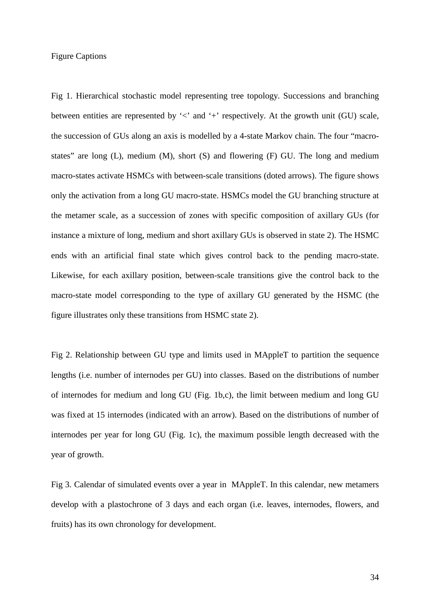## Figure Captions

Fig 1. Hierarchical stochastic model representing tree topology. Successions and branching between entities are represented by  $\leq$  and  $\pm$  respectively. At the growth unit (GU) scale, the succession of GUs along an axis is modelled by a 4-state Markov chain. The four "macrostates" are long  $(L)$ , medium  $(M)$ , short  $(S)$  and flowering  $(F)$  GU. The long and medium macro-states activate HSMCs with between-scale transitions (doted arrows). The figure shows only the activation from a long GU macro-state. HSMCs model the GU branching structure at the metamer scale, as a succession of zones with specific composition of axillary GUs (for instance a mixture of long, medium and short axillary GUs is observed in state 2). The HSMC ends with an artificial final state which gives control back to the pending macro-state. Likewise, for each axillary position, between-scale transitions give the control back to the macro-state model corresponding to the type of axillary GU generated by the HSMC (the figure illustrates only these transitions from HSMC state 2).

Fig 2. Relationship between GU type and limits used in MAppleT to partition the sequence lengths (i.e. number of internodes per GU) into classes. Based on the distributions of number of internodes for medium and long GU (Fig. 1b,c), the limit between medium and long GU was fixed at 15 internodes (indicated with an arrow). Based on the distributions of number of internodes per year for long GU (Fig. 1c), the maximum possible length decreased with the year of growth.

Fig 3. Calendar of simulated events over a year in MAppleT. In this calendar, new metamers develop with a plastochrone of 3 days and each organ (i.e. leaves, internodes, flowers, and fruits) has its own chronology for development.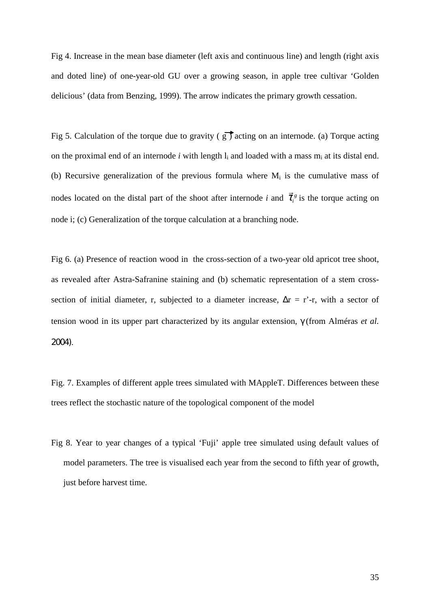Fig 4. Increase in the mean base diameter (left axis and continuous line) and length (right axis and doted line) of one-year-old GU over a growing season, in apple tree cultivar 'Golden delicious' (data from Benzing, 1999). The arrow indicates the primary growth cessation.

Fig 5. Calculation of the torque due to gravity ( $g$ ) acting on an internode. (a) Torque acting on the proximal end of an internode  $i$  with length  $l_i$  and loaded with a mass  $m_i$  at its distal end. (b) Recursive generalization of the previous formula where  $M_i$  is the cumulative mass of nodes located on the distal part of the shoot after internode *i* and  $\vec{\tau}_i^s$  $\rightarrow$ is the torque acting on node i; (c) Generalization of the torque calculation at a branching node.

Fig 6. (a) Presence of reaction wood in the cross-section of a two-year old apricot tree shoot, as revealed after Astra-Safranine staining and (b) schematic representation of a stem crosssection of initial diameter, r, subjected to a diameter increase,  $\Delta r = r'$ -r, with a sector of tension wood in its upper part characterized by its angular extension, γ (from Alméras *et al.*  2004).

Fig. 7. Examples of different apple trees simulated with MAppleT. Differences between these trees reflect the stochastic nature of the topological component of the model

Fig 8. Year to year changes of a typical 'Fuji' apple tree simulated using default values of model parameters. The tree is visualised each year from the second to fifth year of growth, just before harvest time.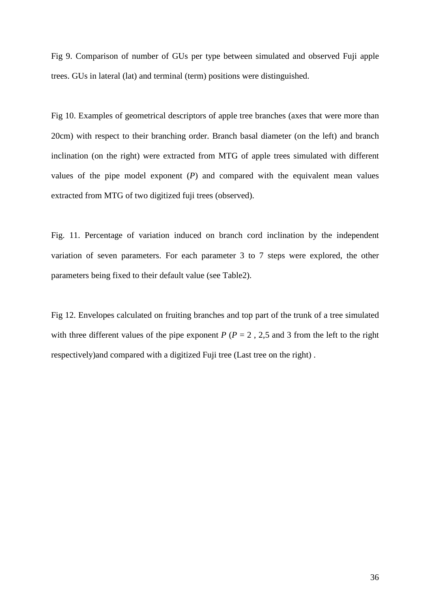Fig 9. Comparison of number of GUs per type between simulated and observed Fuji apple trees. GUs in lateral (lat) and terminal (term) positions were distinguished.

Fig 10. Examples of geometrical descriptors of apple tree branches (axes that were more than 20cm) with respect to their branching order. Branch basal diameter (on the left) and branch inclination (on the right) were extracted from MTG of apple trees simulated with different values of the pipe model exponent (*P*) and compared with the equivalent mean values extracted from MTG of two digitized fuji trees (observed).

Fig. 11. Percentage of variation induced on branch cord inclination by the independent variation of seven parameters. For each parameter 3 to 7 steps were explored, the other parameters being fixed to their default value (see Table2).

Fig 12. Envelopes calculated on fruiting branches and top part of the trunk of a tree simulated with three different values of the pipe exponent  $P(P = 2, 2, 5, 5)$  and 3 from the left to the right respectively)and compared with a digitized Fuji tree (Last tree on the right) .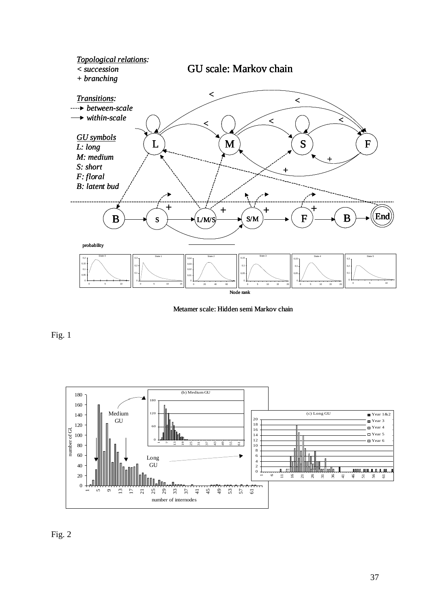

Metamer scale: Hidden semi Markov chain



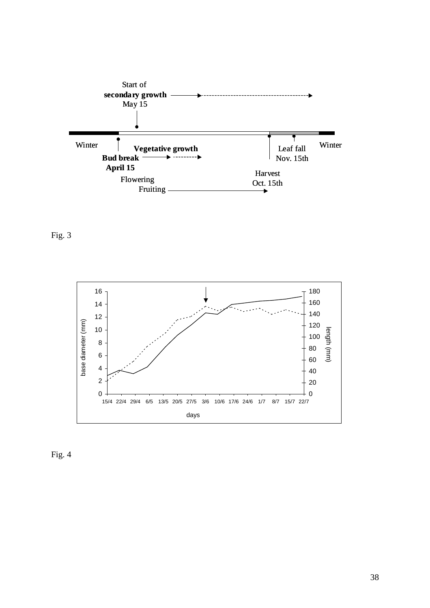



Fig. 4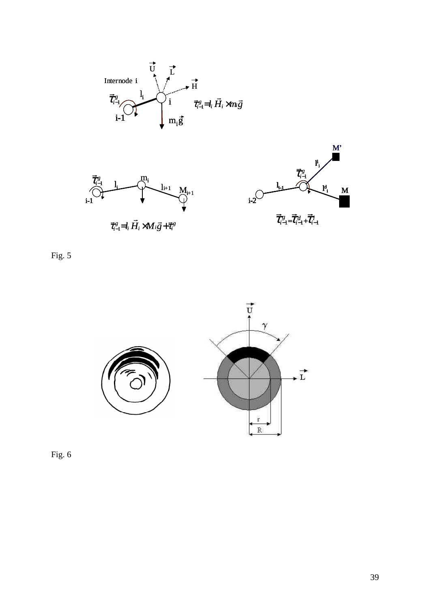





 $\vec{\tau}_{i-l}^g = l_i \vec{H}_i \times M_i \vec{g} + \vec{\tau}_i^g$  $\vec{\tau}_{i-l}^g = l_i H_i \times M_i \vec{g} + \vec{\tau}_i$ 



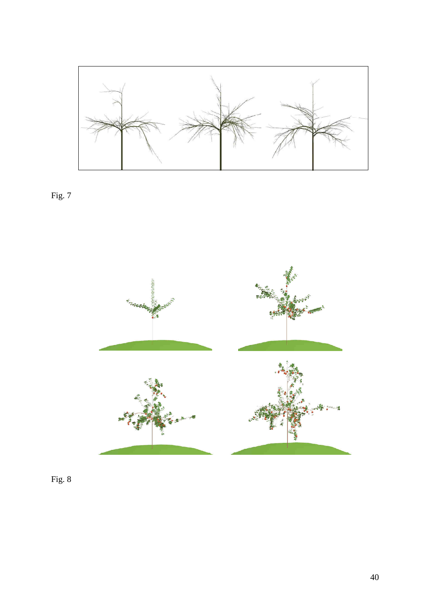

Fig. 7

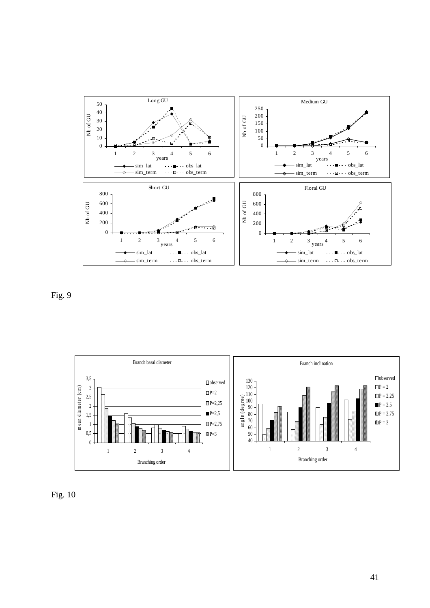

Fig. 9